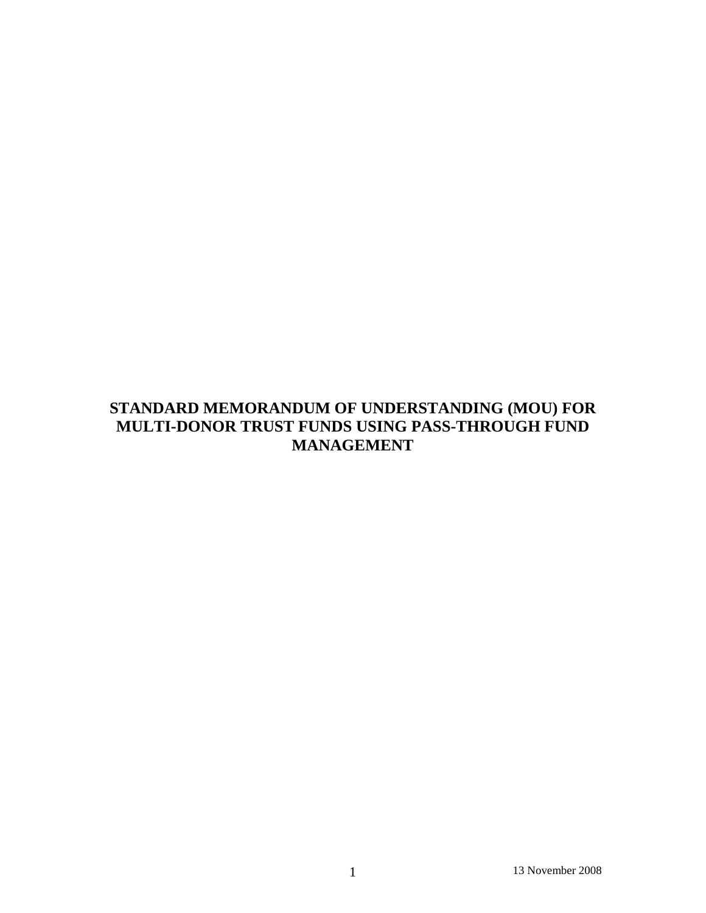# **STANDARD MEMORANDUM OF UNDERSTANDING (MOU) FOR MULTI-DONOR TRUST FUNDS USING PASS-THROUGH FUND MANAGEMENT**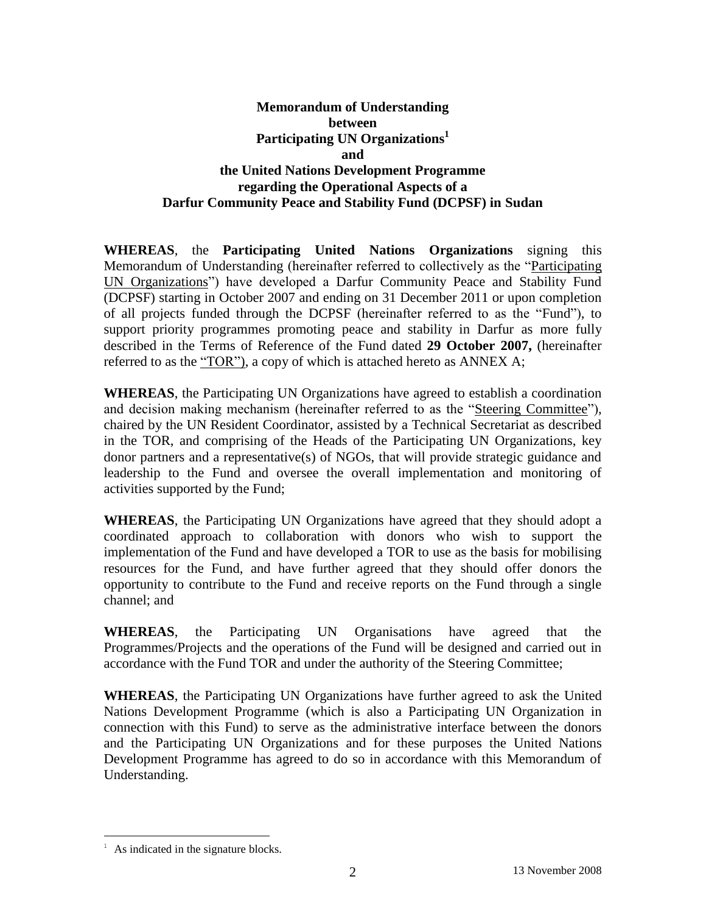## **Memorandum of Understanding between Participating UN Organizations 1 and the United Nations Development Programme regarding the Operational Aspects of a Darfur Community Peace and Stability Fund (DCPSF) in Sudan**

**WHEREAS**, the **Participating United Nations Organizations** signing this Memorandum of Understanding (hereinafter referred to collectively as the "Participating UN Organizations") have developed a Darfur Community Peace and Stability Fund (DCPSF) starting in October 2007 and ending on 31 December 2011 or upon completion of all projects funded through the DCPSF (hereinafter referred to as the "Fund"), to support priority programmes promoting peace and stability in Darfur as more fully described in the Terms of Reference of the Fund dated **29 October 2007,** (hereinafter referred to as the "TOR"), a copy of which is attached hereto as ANNEX A;

**WHEREAS**, the Participating UN Organizations have agreed to establish a coordination and decision making mechanism (hereinafter referred to as the "Steering Committee"), chaired by the UN Resident Coordinator, assisted by a Technical Secretariat as described in the TOR, and comprising of the Heads of the Participating UN Organizations, key donor partners and a representative(s) of NGOs, that will provide strategic guidance and leadership to the Fund and oversee the overall implementation and monitoring of activities supported by the Fund;

**WHEREAS**, the Participating UN Organizations have agreed that they should adopt a coordinated approach to collaboration with donors who wish to support the implementation of the Fund and have developed a TOR to use as the basis for mobilising resources for the Fund, and have further agreed that they should offer donors the opportunity to contribute to the Fund and receive reports on the Fund through a single channel; and

**WHEREAS**, the Participating UN Organisations have agreed that the Programmes/Projects and the operations of the Fund will be designed and carried out in accordance with the Fund TOR and under the authority of the Steering Committee;

**WHEREAS**, the Participating UN Organizations have further agreed to ask the United Nations Development Programme (which is also a Participating UN Organization in connection with this Fund) to serve as the administrative interface between the donors and the Participating UN Organizations and for these purposes the United Nations Development Programme has agreed to do so in accordance with this Memorandum of Understanding.

 $\overline{a}$ 

As indicated in the signature blocks.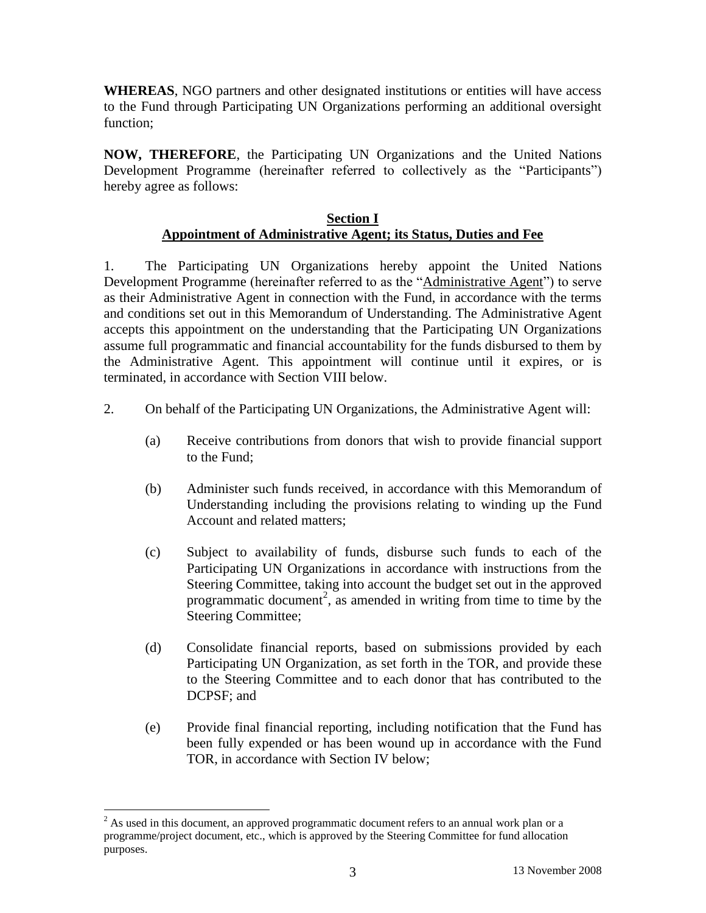**WHEREAS**, NGO partners and other designated institutions or entities will have access to the Fund through Participating UN Organizations performing an additional oversight function;

**NOW, THEREFORE**, the Participating UN Organizations and the United Nations Development Programme (hereinafter referred to collectively as the "Participants") hereby agree as follows:

### **Section I Appointment of Administrative Agent; its Status, Duties and Fee**

1. The Participating UN Organizations hereby appoint the United Nations Development Programme (hereinafter referred to as the "Administrative Agent") to serve as their Administrative Agent in connection with the Fund, in accordance with the terms and conditions set out in this Memorandum of Understanding. The Administrative Agent accepts this appointment on the understanding that the Participating UN Organizations assume full programmatic and financial accountability for the funds disbursed to them by the Administrative Agent. This appointment will continue until it expires, or is terminated, in accordance with Section VIII below.

- 2. On behalf of the Participating UN Organizations, the Administrative Agent will:
	- (a) Receive contributions from donors that wish to provide financial support to the Fund;
	- (b) Administer such funds received, in accordance with this Memorandum of Understanding including the provisions relating to winding up the Fund Account and related matters;
	- (c) Subject to availability of funds, disburse such funds to each of the Participating UN Organizations in accordance with instructions from the Steering Committee, taking into account the budget set out in the approved programmatic document<sup>2</sup>, as amended in writing from time to time by the Steering Committee;
	- (d) Consolidate financial reports, based on submissions provided by each Participating UN Organization, as set forth in the TOR, and provide these to the Steering Committee and to each donor that has contributed to the DCPSF; and
	- (e) Provide final financial reporting, including notification that the Fund has been fully expended or has been wound up in accordance with the Fund TOR, in accordance with Section IV below;

 $\overline{a}$ 

 $2$  As used in this document, an approved programmatic document refers to an annual work plan or a programme/project document, etc., which is approved by the Steering Committee for fund allocation purposes.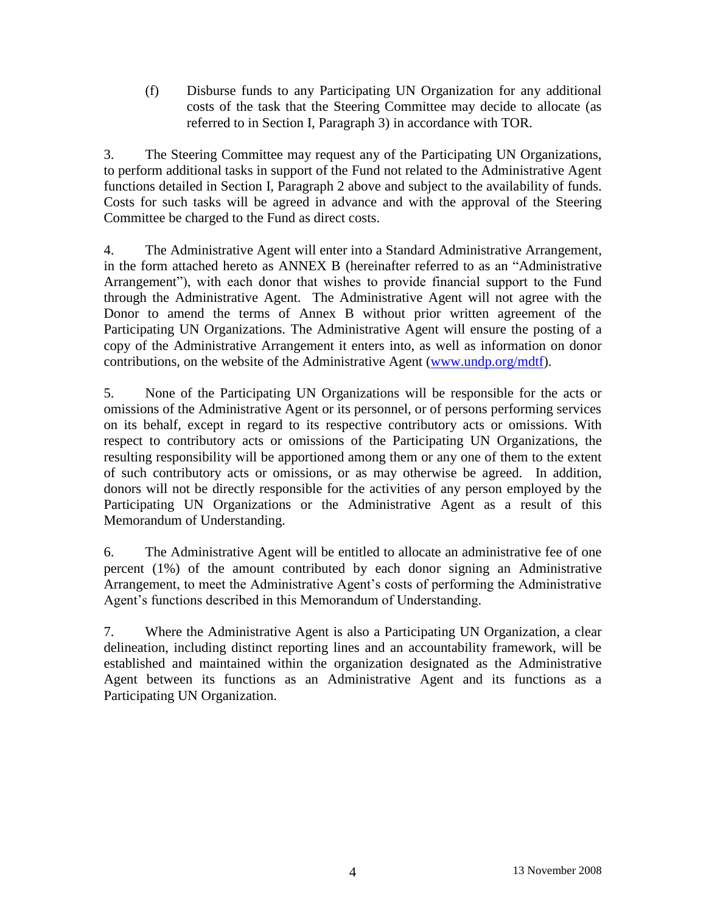(f) Disburse funds to any Participating UN Organization for any additional costs of the task that the Steering Committee may decide to allocate (as referred to in Section I, Paragraph 3) in accordance with TOR.

3. The Steering Committee may request any of the Participating UN Organizations, to perform additional tasks in support of the Fund not related to the Administrative Agent functions detailed in Section I, Paragraph 2 above and subject to the availability of funds. Costs for such tasks will be agreed in advance and with the approval of the Steering Committee be charged to the Fund as direct costs.

4. The Administrative Agent will enter into a Standard Administrative Arrangement, in the form attached hereto as ANNEX B (hereinafter referred to as an "Administrative Arrangement"), with each donor that wishes to provide financial support to the Fund through the Administrative Agent. The Administrative Agent will not agree with the Donor to amend the terms of Annex B without prior written agreement of the Participating UN Organizations. The Administrative Agent will ensure the posting of a copy of the Administrative Arrangement it enters into, as well as information on donor contributions, on the website of the Administrative Agent [\(www.undp.org/mdtf\)](http://www.undp.org/mdtf).

5. None of the Participating UN Organizations will be responsible for the acts or omissions of the Administrative Agent or its personnel, or of persons performing services on its behalf, except in regard to its respective contributory acts or omissions. With respect to contributory acts or omissions of the Participating UN Organizations, the resulting responsibility will be apportioned among them or any one of them to the extent of such contributory acts or omissions, or as may otherwise be agreed. In addition, donors will not be directly responsible for the activities of any person employed by the Participating UN Organizations or the Administrative Agent as a result of this Memorandum of Understanding.

6. The Administrative Agent will be entitled to allocate an administrative fee of one percent (1%) of the amount contributed by each donor signing an Administrative Arrangement, to meet the Administrative Agent's costs of performing the Administrative Agent's functions described in this Memorandum of Understanding.

7. Where the Administrative Agent is also a Participating UN Organization, a clear delineation, including distinct reporting lines and an accountability framework, will be established and maintained within the organization designated as the Administrative Agent between its functions as an Administrative Agent and its functions as a Participating UN Organization.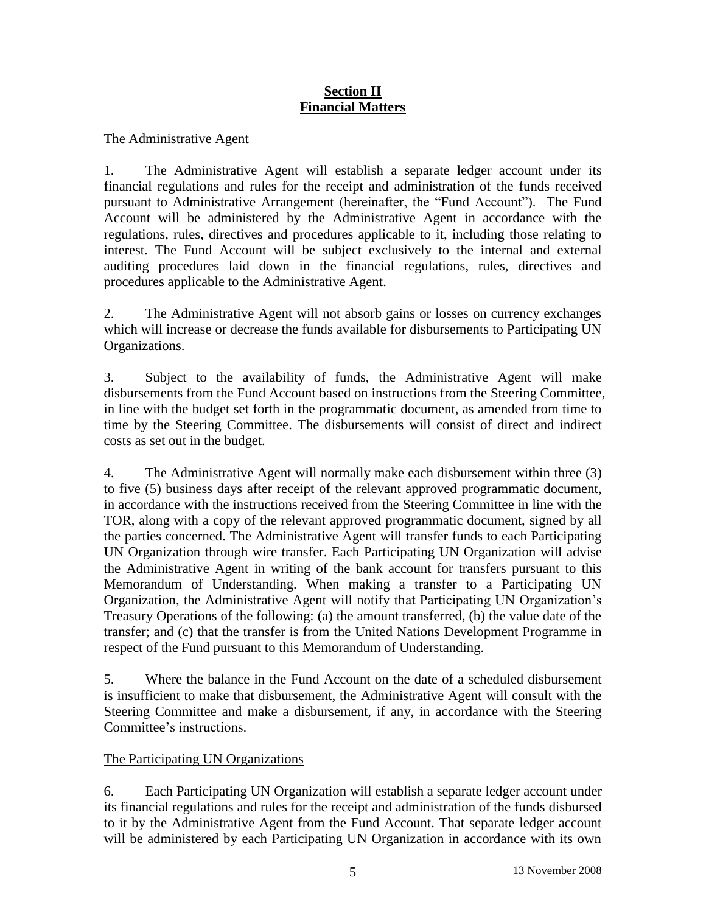## **Section II Financial Matters**

### The Administrative Agent

1. The Administrative Agent will establish a separate ledger account under its financial regulations and rules for the receipt and administration of the funds received pursuant to Administrative Arrangement (hereinafter, the "Fund Account"). The Fund Account will be administered by the Administrative Agent in accordance with the regulations, rules, directives and procedures applicable to it, including those relating to interest. The Fund Account will be subject exclusively to the internal and external auditing procedures laid down in the financial regulations, rules, directives and procedures applicable to the Administrative Agent.

2. The Administrative Agent will not absorb gains or losses on currency exchanges which will increase or decrease the funds available for disbursements to Participating UN Organizations.

3. Subject to the availability of funds, the Administrative Agent will make disbursements from the Fund Account based on instructions from the Steering Committee, in line with the budget set forth in the programmatic document, as amended from time to time by the Steering Committee. The disbursements will consist of direct and indirect costs as set out in the budget.

4. The Administrative Agent will normally make each disbursement within three (3) to five (5) business days after receipt of the relevant approved programmatic document, in accordance with the instructions received from the Steering Committee in line with the TOR, along with a copy of the relevant approved programmatic document, signed by all the parties concerned. The Administrative Agent will transfer funds to each Participating UN Organization through wire transfer. Each Participating UN Organization will advise the Administrative Agent in writing of the bank account for transfers pursuant to this Memorandum of Understanding. When making a transfer to a Participating UN Organization, the Administrative Agent will notify that Participating UN Organization's Treasury Operations of the following: (a) the amount transferred, (b) the value date of the transfer; and (c) that the transfer is from the United Nations Development Programme in respect of the Fund pursuant to this Memorandum of Understanding.

5. Where the balance in the Fund Account on the date of a scheduled disbursement is insufficient to make that disbursement, the Administrative Agent will consult with the Steering Committee and make a disbursement, if any, in accordance with the Steering Committee's instructions.

## The Participating UN Organizations

6. Each Participating UN Organization will establish a separate ledger account under its financial regulations and rules for the receipt and administration of the funds disbursed to it by the Administrative Agent from the Fund Account. That separate ledger account will be administered by each Participating UN Organization in accordance with its own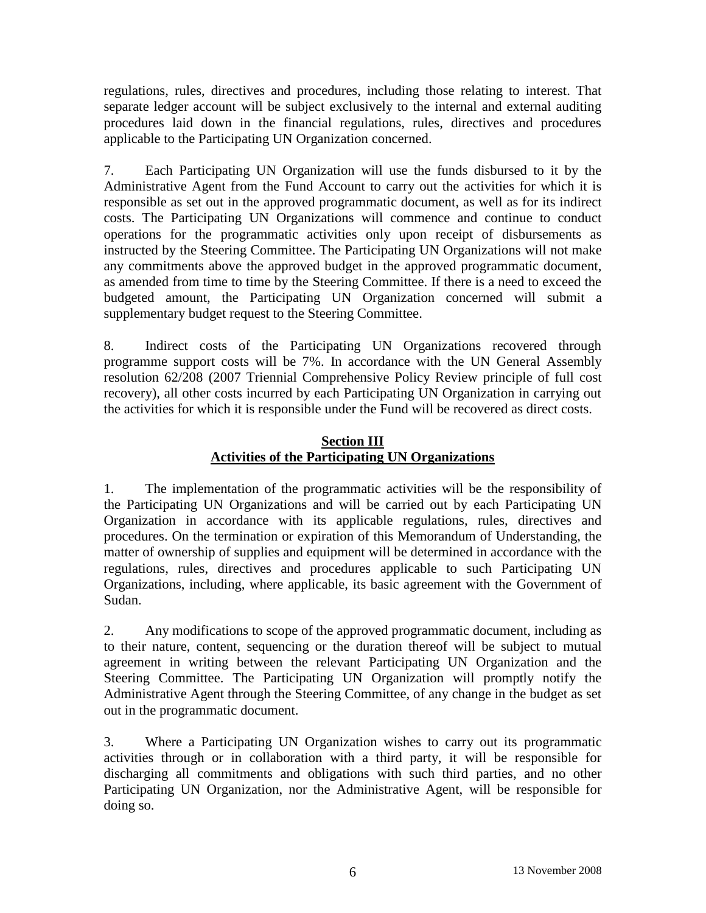regulations, rules, directives and procedures, including those relating to interest. That separate ledger account will be subject exclusively to the internal and external auditing procedures laid down in the financial regulations, rules, directives and procedures applicable to the Participating UN Organization concerned.

7. Each Participating UN Organization will use the funds disbursed to it by the Administrative Agent from the Fund Account to carry out the activities for which it is responsible as set out in the approved programmatic document, as well as for its indirect costs. The Participating UN Organizations will commence and continue to conduct operations for the programmatic activities only upon receipt of disbursements as instructed by the Steering Committee. The Participating UN Organizations will not make any commitments above the approved budget in the approved programmatic document, as amended from time to time by the Steering Committee. If there is a need to exceed the budgeted amount, the Participating UN Organization concerned will submit a supplementary budget request to the Steering Committee.

8. Indirect costs of the Participating UN Organizations recovered through programme support costs will be 7%. In accordance with the UN General Assembly resolution 62/208 (2007 Triennial Comprehensive Policy Review principle of full cost recovery), all other costs incurred by each Participating UN Organization in carrying out the activities for which it is responsible under the Fund will be recovered as direct costs.

## **Section III Activities of the Participating UN Organizations**

1. The implementation of the programmatic activities will be the responsibility of the Participating UN Organizations and will be carried out by each Participating UN Organization in accordance with its applicable regulations, rules, directives and procedures. On the termination or expiration of this Memorandum of Understanding, the matter of ownership of supplies and equipment will be determined in accordance with the regulations, rules, directives and procedures applicable to such Participating UN Organizations, including, where applicable, its basic agreement with the Government of Sudan.

2. Any modifications to scope of the approved programmatic document, including as to their nature, content, sequencing or the duration thereof will be subject to mutual agreement in writing between the relevant Participating UN Organization and the Steering Committee. The Participating UN Organization will promptly notify the Administrative Agent through the Steering Committee, of any change in the budget as set out in the programmatic document.

3. Where a Participating UN Organization wishes to carry out its programmatic activities through or in collaboration with a third party, it will be responsible for discharging all commitments and obligations with such third parties, and no other Participating UN Organization, nor the Administrative Agent, will be responsible for doing so.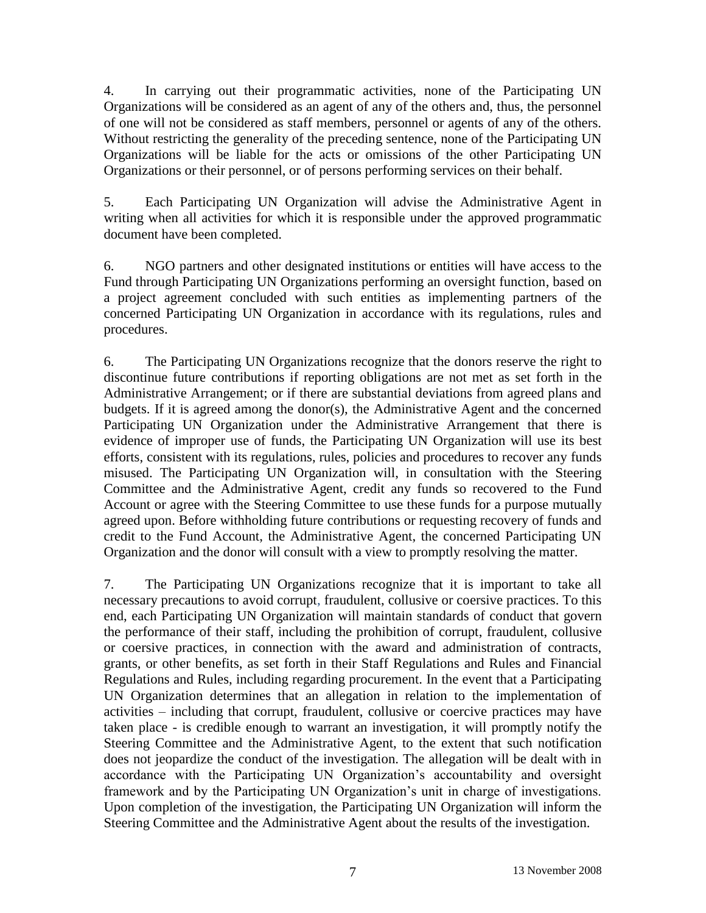4. In carrying out their programmatic activities, none of the Participating UN Organizations will be considered as an agent of any of the others and, thus, the personnel of one will not be considered as staff members, personnel or agents of any of the others. Without restricting the generality of the preceding sentence, none of the Participating UN Organizations will be liable for the acts or omissions of the other Participating UN Organizations or their personnel, or of persons performing services on their behalf.

5. Each Participating UN Organization will advise the Administrative Agent in writing when all activities for which it is responsible under the approved programmatic document have been completed.

6. NGO partners and other designated institutions or entities will have access to the Fund through Participating UN Organizations performing an oversight function, based on a project agreement concluded with such entities as implementing partners of the concerned Participating UN Organization in accordance with its regulations, rules and procedures.

6. The Participating UN Organizations recognize that the donors reserve the right to discontinue future contributions if reporting obligations are not met as set forth in the Administrative Arrangement; or if there are substantial deviations from agreed plans and budgets. If it is agreed among the donor(s), the Administrative Agent and the concerned Participating UN Organization under the Administrative Arrangement that there is evidence of improper use of funds, the Participating UN Organization will use its best efforts, consistent with its regulations, rules, policies and procedures to recover any funds misused. The Participating UN Organization will, in consultation with the Steering Committee and the Administrative Agent, credit any funds so recovered to the Fund Account or agree with the Steering Committee to use these funds for a purpose mutually agreed upon. Before withholding future contributions or requesting recovery of funds and credit to the Fund Account, the Administrative Agent, the concerned Participating UN Organization and the donor will consult with a view to promptly resolving the matter.

7. The Participating UN Organizations recognize that it is important to take all necessary precautions to avoid corrupt, fraudulent, collusive or coersive practices. To this end, each Participating UN Organization will maintain standards of conduct that govern the performance of their staff, including the prohibition of corrupt, fraudulent, collusive or coersive practices, in connection with the award and administration of contracts, grants, or other benefits, as set forth in their Staff Regulations and Rules and Financial Regulations and Rules, including regarding procurement. In the event that a Participating UN Organization determines that an allegation in relation to the implementation of activities – including that corrupt, fraudulent, collusive or coercive practices may have taken place - is credible enough to warrant an investigation, it will promptly notify the Steering Committee and the Administrative Agent, to the extent that such notification does not jeopardize the conduct of the investigation. The allegation will be dealt with in accordance with the Participating UN Organization's accountability and oversight framework and by the Participating UN Organization's unit in charge of investigations. Upon completion of the investigation, the Participating UN Organization will inform the Steering Committee and the Administrative Agent about the results of the investigation.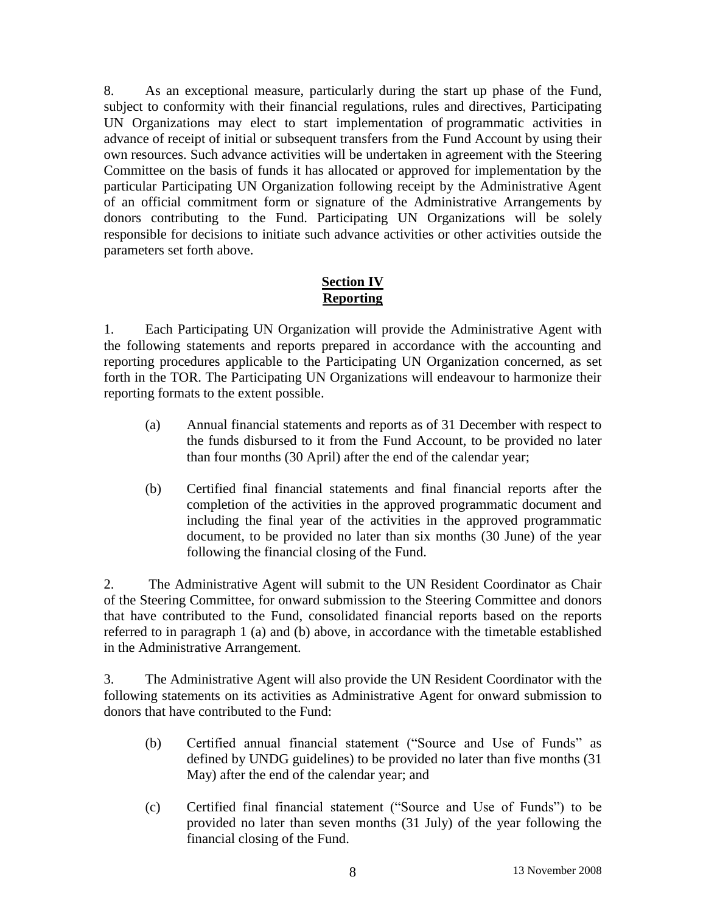8. As an exceptional measure, particularly during the start up phase of the Fund, subject to conformity with their financial regulations, rules and directives, Participating UN Organizations may elect to start implementation of programmatic activities in advance of receipt of initial or subsequent transfers from the Fund Account by using their own resources. Such advance activities will be undertaken in agreement with the Steering Committee on the basis of funds it has allocated or approved for implementation by the particular Participating UN Organization following receipt by the Administrative Agent of an official commitment form or signature of the Administrative Arrangements by donors contributing to the Fund. Participating UN Organizations will be solely responsible for decisions to initiate such advance activities or other activities outside the parameters set forth above.

### **Section IV Reporting**

1. Each Participating UN Organization will provide the Administrative Agent with the following statements and reports prepared in accordance with the accounting and reporting procedures applicable to the Participating UN Organization concerned, as set forth in the TOR. The Participating UN Organizations will endeavour to harmonize their reporting formats to the extent possible.

- (a) Annual financial statements and reports as of 31 December with respect to the funds disbursed to it from the Fund Account, to be provided no later than four months (30 April) after the end of the calendar year;
- (b) Certified final financial statements and final financial reports after the completion of the activities in the approved programmatic document and including the final year of the activities in the approved programmatic document, to be provided no later than six months (30 June) of the year following the financial closing of the Fund.

2. The Administrative Agent will submit to the UN Resident Coordinator as Chair of the Steering Committee, for onward submission to the Steering Committee and donors that have contributed to the Fund, consolidated financial reports based on the reports referred to in paragraph 1 (a) and (b) above, in accordance with the timetable established in the Administrative Arrangement.

3. The Administrative Agent will also provide the UN Resident Coordinator with the following statements on its activities as Administrative Agent for onward submission to donors that have contributed to the Fund:

- (b) Certified annual financial statement ("Source and Use of Funds" as defined by UNDG guidelines) to be provided no later than five months (31 May) after the end of the calendar year; and
- (c) Certified final financial statement ("Source and Use of Funds") to be provided no later than seven months (31 July) of the year following the financial closing of the Fund.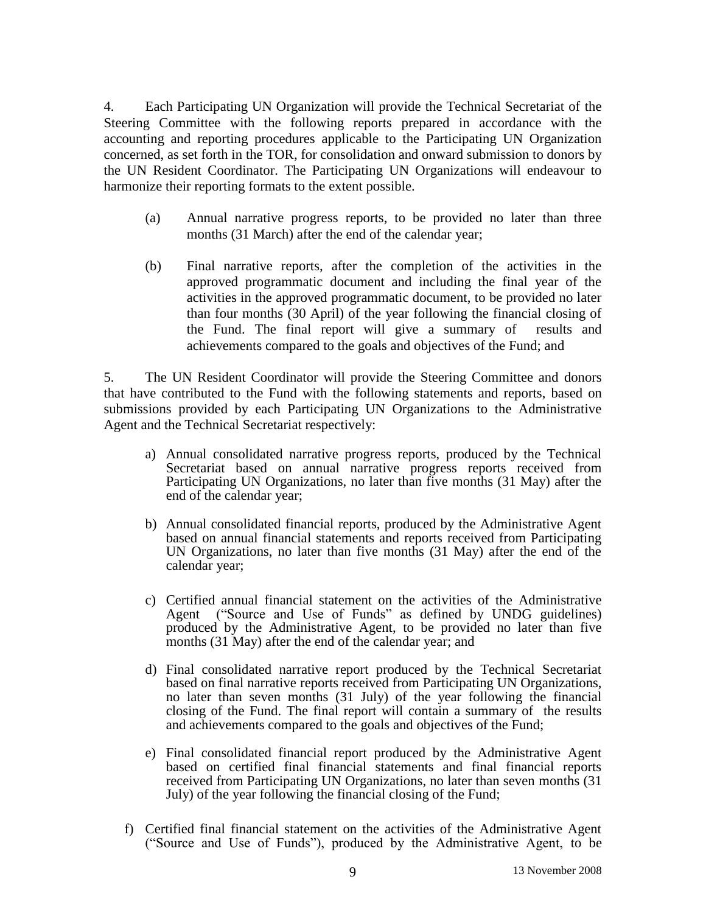4. Each Participating UN Organization will provide the Technical Secretariat of the Steering Committee with the following reports prepared in accordance with the accounting and reporting procedures applicable to the Participating UN Organization concerned, as set forth in the TOR, for consolidation and onward submission to donors by the UN Resident Coordinator. The Participating UN Organizations will endeavour to harmonize their reporting formats to the extent possible.

- (a) Annual narrative progress reports, to be provided no later than three months (31 March) after the end of the calendar year;
- (b) Final narrative reports, after the completion of the activities in the approved programmatic document and including the final year of the activities in the approved programmatic document, to be provided no later than four months (30 April) of the year following the financial closing of the Fund. The final report will give a summary of results and achievements compared to the goals and objectives of the Fund; and

5. The UN Resident Coordinator will provide the Steering Committee and donors that have contributed to the Fund with the following statements and reports, based on submissions provided by each Participating UN Organizations to the Administrative Agent and the Technical Secretariat respectively:

- a) Annual consolidated narrative progress reports, produced by the Technical Secretariat based on annual narrative progress reports received from Participating UN Organizations, no later than five months (31 May) after the end of the calendar year;
- b) Annual consolidated financial reports, produced by the Administrative Agent based on annual financial statements and reports received from Participating UN Organizations, no later than five months (31 May) after the end of the calendar year;
- c) Certified annual financial statement on the activities of the Administrative Agent ("Source and Use of Funds" as defined by UNDG guidelines) produced by the Administrative Agent, to be provided no later than five months (31 May) after the end of the calendar year; and
- d) Final consolidated narrative report produced by the Technical Secretariat based on final narrative reports received from Participating UN Organizations, no later than seven months (31 July) of the year following the financial closing of the Fund. The final report will contain a summary of the results and achievements compared to the goals and objectives of the Fund;
- e) Final consolidated financial report produced by the Administrative Agent based on certified final financial statements and final financial reports received from Participating UN Organizations, no later than seven months (31 July) of the year following the financial closing of the Fund;
- f) Certified final financial statement on the activities of the Administrative Agent ("Source and Use of Funds"), produced by the Administrative Agent, to be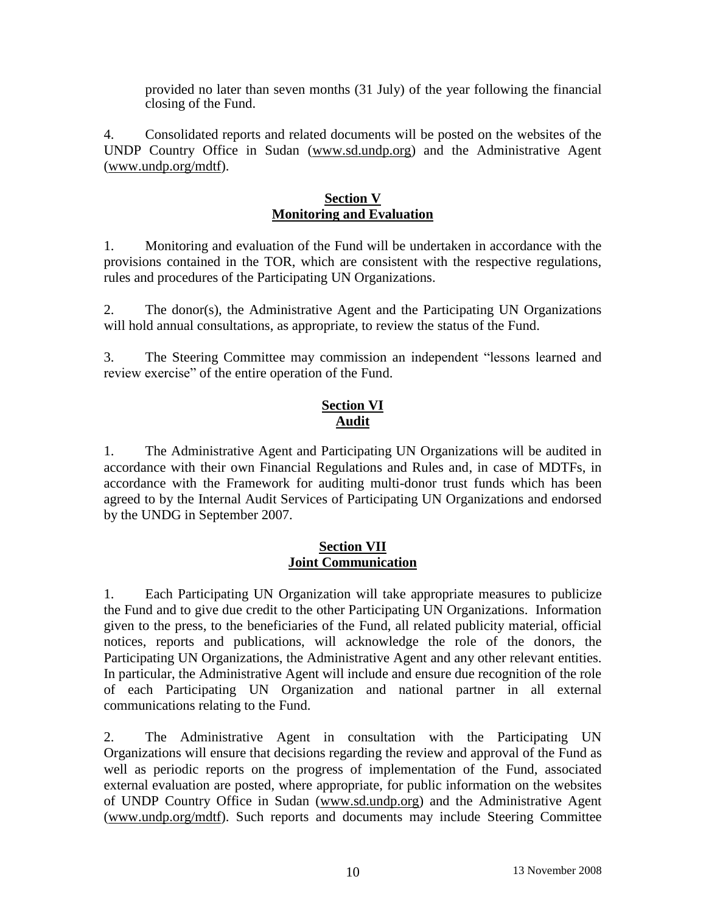provided no later than seven months (31 July) of the year following the financial closing of the Fund.

4. Consolidated reports and related documents will be posted on the websites of the UNDP Country Office in Sudan (www.sd.undp.org) and the Administrative Agent (www.undp.org/mdtf).

### **Section V Monitoring and Evaluation**

1. Monitoring and evaluation of the Fund will be undertaken in accordance with the provisions contained in the TOR, which are consistent with the respective regulations, rules and procedures of the Participating UN Organizations.

2. The donor(s), the Administrative Agent and the Participating UN Organizations will hold annual consultations, as appropriate, to review the status of the Fund.

3. The Steering Committee may commission an independent "lessons learned and review exercise" of the entire operation of the Fund.

# **Section VI Audit**

1. The Administrative Agent and Participating UN Organizations will be audited in accordance with their own Financial Regulations and Rules and, in case of MDTFs, in accordance with the Framework for auditing multi-donor trust funds which has been agreed to by the Internal Audit Services of Participating UN Organizations and endorsed by the UNDG in September 2007.

### **Section VII Joint Communication**

1. Each Participating UN Organization will take appropriate measures to publicize the Fund and to give due credit to the other Participating UN Organizations. Information given to the press, to the beneficiaries of the Fund, all related publicity material, official notices, reports and publications, will acknowledge the role of the donors, the Participating UN Organizations, the Administrative Agent and any other relevant entities. In particular, the Administrative Agent will include and ensure due recognition of the role of each Participating UN Organization and national partner in all external communications relating to the Fund.

2. The Administrative Agent in consultation with the Participating UN Organizations will ensure that decisions regarding the review and approval of the Fund as well as periodic reports on the progress of implementation of the Fund, associated external evaluation are posted, where appropriate, for public information on the websites of UNDP Country Office in Sudan (www.sd.undp.org) and the Administrative Agent (www.undp.org/mdtf). Such reports and documents may include Steering Committee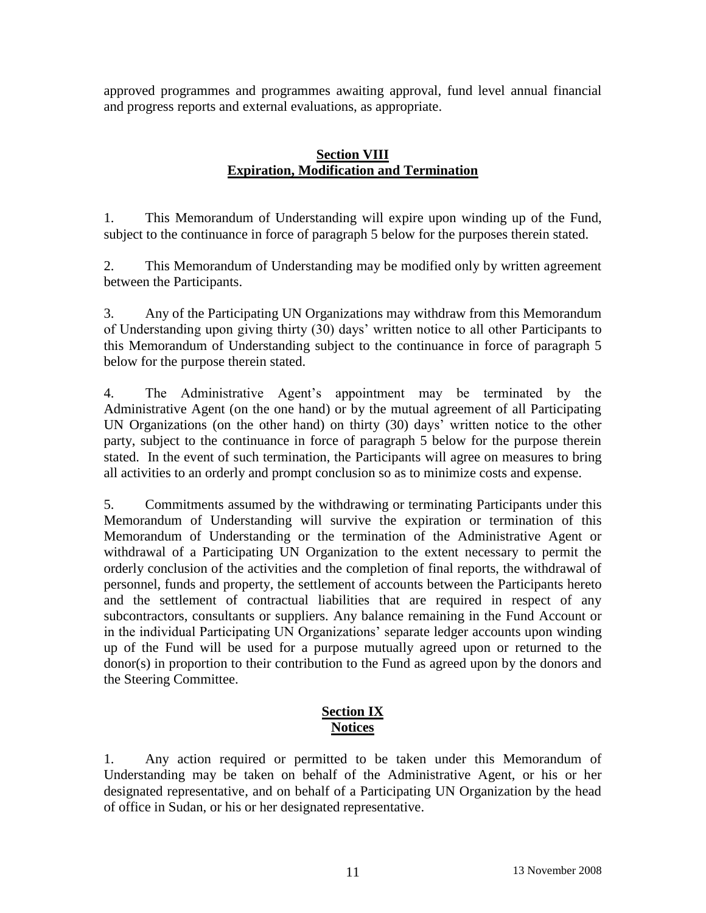approved programmes and programmes awaiting approval, fund level annual financial and progress reports and external evaluations, as appropriate.

# **Section VIII Expiration, Modification and Termination**

1. This Memorandum of Understanding will expire upon winding up of the Fund, subject to the continuance in force of paragraph 5 below for the purposes therein stated.

2. This Memorandum of Understanding may be modified only by written agreement between the Participants.

3. Any of the Participating UN Organizations may withdraw from this Memorandum of Understanding upon giving thirty (30) days' written notice to all other Participants to this Memorandum of Understanding subject to the continuance in force of paragraph 5 below for the purpose therein stated.

4. The Administrative Agent's appointment may be terminated by the Administrative Agent (on the one hand) or by the mutual agreement of all Participating UN Organizations (on the other hand) on thirty (30) days' written notice to the other party, subject to the continuance in force of paragraph 5 below for the purpose therein stated. In the event of such termination, the Participants will agree on measures to bring all activities to an orderly and prompt conclusion so as to minimize costs and expense.

5. Commitments assumed by the withdrawing or terminating Participants under this Memorandum of Understanding will survive the expiration or termination of this Memorandum of Understanding or the termination of the Administrative Agent or withdrawal of a Participating UN Organization to the extent necessary to permit the orderly conclusion of the activities and the completion of final reports, the withdrawal of personnel, funds and property, the settlement of accounts between the Participants hereto and the settlement of contractual liabilities that are required in respect of any subcontractors, consultants or suppliers. Any balance remaining in the Fund Account or in the individual Participating UN Organizations' separate ledger accounts upon winding up of the Fund will be used for a purpose mutually agreed upon or returned to the donor(s) in proportion to their contribution to the Fund as agreed upon by the donors and the Steering Committee.

# **Section IX Notices**

1. Any action required or permitted to be taken under this Memorandum of Understanding may be taken on behalf of the Administrative Agent, or his or her designated representative, and on behalf of a Participating UN Organization by the head of office in Sudan, or his or her designated representative.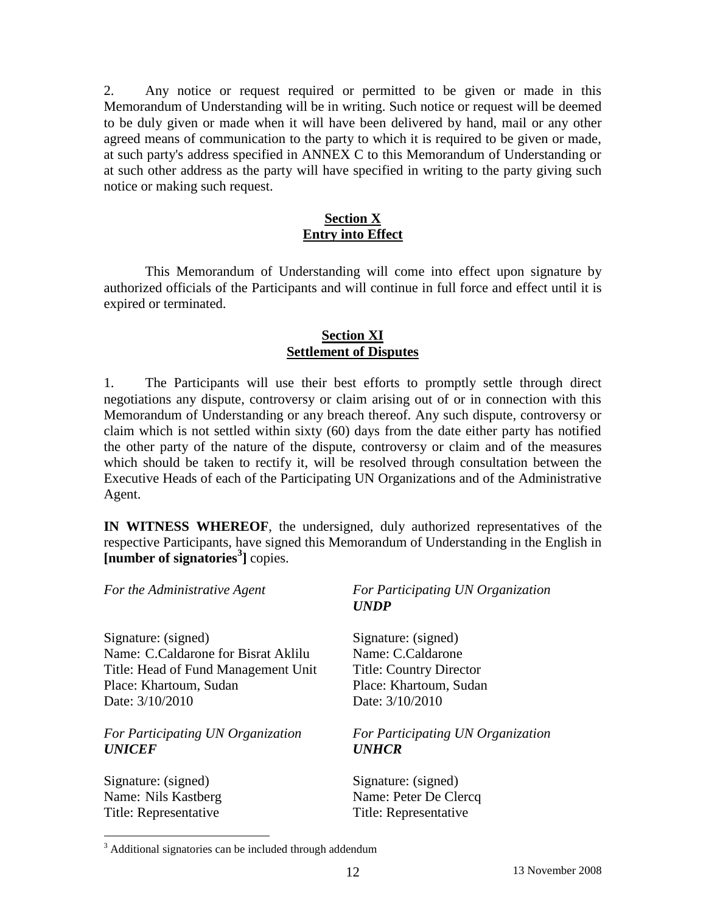2. Any notice or request required or permitted to be given or made in this Memorandum of Understanding will be in writing. Such notice or request will be deemed to be duly given or made when it will have been delivered by hand, mail or any other agreed means of communication to the party to which it is required to be given or made, at such party's address specified in ANNEX C to this Memorandum of Understanding or at such other address as the party will have specified in writing to the party giving such notice or making such request.

# **Section X Entry into Effect**

This Memorandum of Understanding will come into effect upon signature by authorized officials of the Participants and will continue in full force and effect until it is expired or terminated.

### **Section XI Settlement of Disputes**

1. The Participants will use their best efforts to promptly settle through direct negotiations any dispute, controversy or claim arising out of or in connection with this Memorandum of Understanding or any breach thereof. Any such dispute, controversy or claim which is not settled within sixty (60) days from the date either party has notified the other party of the nature of the dispute, controversy or claim and of the measures which should be taken to rectify it, will be resolved through consultation between the Executive Heads of each of the Participating UN Organizations and of the Administrative Agent.

**IN WITNESS WHEREOF**, the undersigned, duly authorized representatives of the respective Participants, have signed this Memorandum of Understanding in the English in **[number of signatories<sup>3</sup> ]** copies.

| For the Administrative Agent        | For Participating UN Organization<br><b>UNDP</b> |
|-------------------------------------|--------------------------------------------------|
| Signature: (signed)                 | Signature: (signed)                              |
| Name: C.Caldarone for Bisrat Aklilu | Name: C.Caldarone                                |
| Title: Head of Fund Management Unit | <b>Title: Country Director</b>                   |
| Place: Khartoum, Sudan              | Place: Khartoum, Sudan                           |
| Date: 3/10/2010                     | Date: 3/10/2010                                  |
| For Participating UN Organization   | For Participating UN Organization                |
| <b>UNICEF</b>                       | <b>UNHCR</b>                                     |
| Signature: (signed)                 | Signature: (signed)                              |
| Name: Nils Kastberg                 | Name: Peter De Clercq                            |
| Title: Representative               | Title: Representative                            |

 $\overline{a}$ 

<sup>&</sup>lt;sup>3</sup> Additional signatories can be included through addendum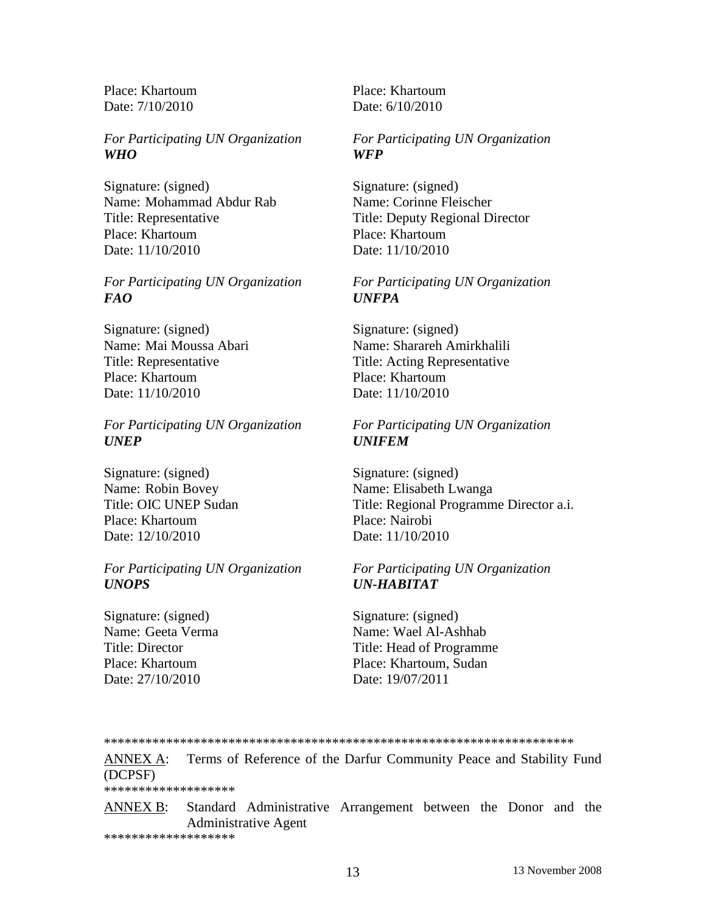Place: Khartoum Place: Khartoum Date: 7/10/2010 Date: 6/10/2010

### *For Participating UN Organization For Participating UN Organization WHO WFP*

Signature: (signed) Signature: (signed) Name: Mohammad Abdur Rab Name: Corinne Fleischer Place: Khartoum Place: Khartoum Date: 11/10/2010 Date: 11/10/2010

### *For Participating UN Organization For Participating UN Organization FAO UNFPA*

Signature: (signed) Signature: (signed) Place: Khartoum Place: Khartoum Date: 11/10/2010 Date: 11/10/2010

*For Participating UN Organization For Participating UN Organization UNEP UNIFEM*

Signature: (signed) Signature: (signed) Place: Khartoum Place: Nairobi Date: 12/10/2010 Date: 11/10/2010

### *For Participating UN Organization For Participating UN Organization UNOPS UN-HABITAT*

Signature: (signed) Signature: (signed) Date: 27/10/2010 Date: 19/07/2011

Title: Representative Title: Deputy Regional Director

Name: Mai Moussa Abari Name: Sharareh Amirkhalili Title: Representative Title: Acting Representative

Name: Robin Bovey Name: Elisabeth Lwanga Title: OIC UNEP Sudan Title: Regional Programme Director a.i.

Name: Geeta Verma Name: Wael Al-Ashhab Title: Director Title: Head of Programme Place: Khartoum Place: Khartoum, Sudan

### \*\*\*\*\*\*\*\*\*\*\*\*\*\*\*\*\*\*\*\*\*\*\*\*\*\*\*\*\*\*\*\*\*\*\*\*\*\*\*\*\*\*\*\*\*\*\*\*\*\*\*\*\*\*\*\*\*\*\*\*\*\*\*\*\*\*\*\*

ANNEX A: Terms of Reference of the Darfur Community Peace and Stability Fund (DCPSF) \*\*\*\*\*\*\*\*\*\*\*\*\*\*\*\*\*\*\*

ANNEX B: Standard Administrative Arrangement between the Donor and the Administrative Agent

\*\*\*\*\*\*\*\*\*\*\*\*\*\*\*\*\*\*\*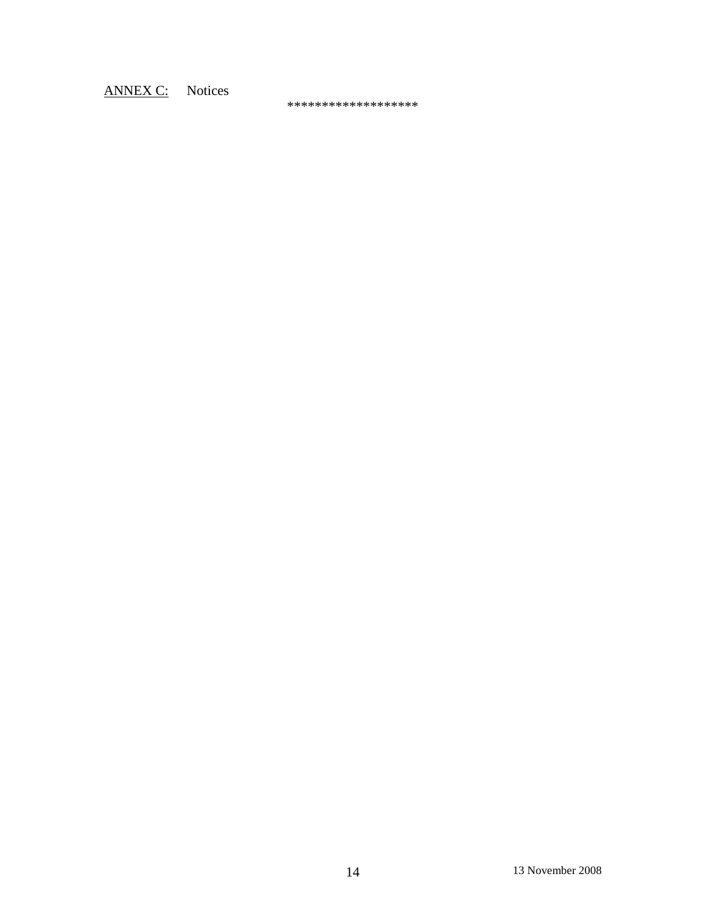# ANNEX C: Notices

\*\*\*\*\*\*\*\*\*\*\*\*\*\*\*\*\*\*\*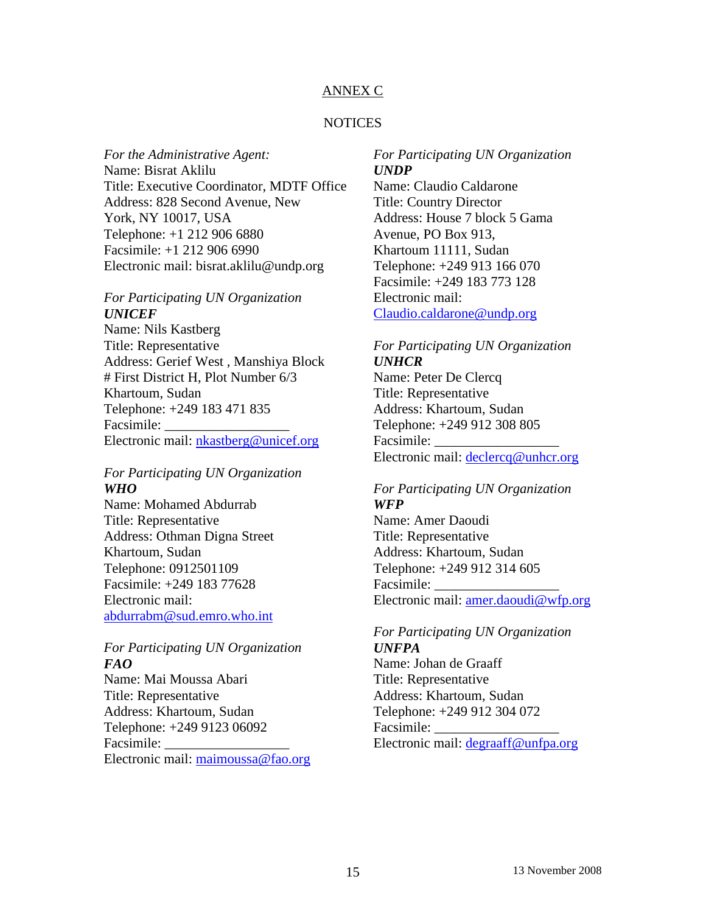### ANNEX C

### NOTICES

*For the Administrative Agent:*  Name: Bisrat Aklilu Title: Executive Coordinator, MDTF Office Address: 828 Second Avenue, New York, NY 10017, USA Telephone: +1 212 906 6880 Facsimile: +1 212 906 6990 Electronic mail: bisrat.aklilu@undp.org

### *For Participating UN Organization UNICEF*

Name: Nils Kastberg Title: Representative Address: Gerief West , Manshiya Block # First District H, Plot Number 6/3 Khartoum, Sudan Telephone: +249 183 471 835 Facsimile: Electronic mail: nkastberg@unicef.org

### *For Participating UN Organization WHO*

Name: Mohamed Abdurrab Title: Representative Address: Othman Digna Street Khartoum, Sudan Telephone: 0912501109 Facsimile: +249 183 77628 Electronic mail: [abdurrabm@sud.emro.who.int](mailto:abdurrabm@sud.emro.who.int)

### *For Participating UN Organization FAO*

Name: Mai Moussa Abari Title: Representative Address: Khartoum, Sudan Telephone: +249 9123 06092 Facsimile: Electronic mail: [maimoussa@fao.org](mailto:maimoussa@fao.org)

### *For Participating UN Organization UNDP* Name: Claudio Caldarone Title: Country Director Address: House 7 block 5 Gama Avenue, PO Box 913, Khartoum 11111, Sudan Telephone: +249 913 166 070 Facsimile: +249 183 773 128 Electronic mail: [Claudio.caldarone@undp.org](mailto:Claudio.caldarone@undp.org)

### *For Participating UN Organization UNHCR*

Name: Peter De Clercq Title: Representative Address: Khartoum, Sudan Telephone: +249 912 308 805 Facsimile: Electronic mail: [declercq@unhcr.org](mailto:declercq@unhcr.org)

### *For Participating UN Organization WFP*

Name: Amer Daoudi Title: Representative Address: Khartoum, Sudan Telephone: +249 912 314 605 Facsimile: Electronic mail: [amer.daoudi@wfp.org](mailto:amer.daoudi@wfp.org)

### *For Participating UN Organization UNFPA*

Name: Johan de Graaff Title: Representative Address: Khartoum, Sudan Telephone: +249 912 304 072 Facsimile: Electronic mail: [degraaff@unfpa.org](mailto:degraaff@unfpa.org)